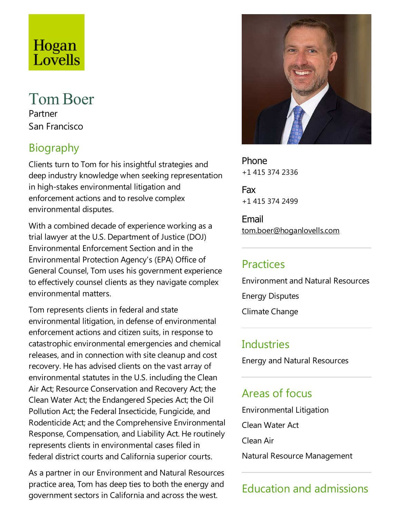# Hogan Lovells

# **Tom Boer**

Partner San Francisco

# Biography

Clients turn to Tom for his insightful strategies and deep industry knowledge when seeking representation in high-stakes environmental litigation and enforcement actions and to resolve complex environmental disputes.

With a combined decade of experience working as a trial lawyer at the U.S. Department of Justice(DOJ) Environmental Enforcement Section and in the Environmental Protection Agency's (EPA) Office of General Counsel, Tom uses his government experience to effectively counsel clients as they navigate complex environmental matters.

Tom represents clients in federal and state environmental litigation, in defense of environmental enforcement actions and citizen suits, in response to catastrophic environmental emergencies and chemical releases, and in connection with site cleanup and cost recovery. He has advised clients on the vast array of environmental statutes in the U.S. including the Clean Air Act; Resource Conservation and Recovery Act; the Clean Water Act; the Endangered Species Act; the Oil Pollution Act; the Federal Insecticide, Fungicide, and Rodenticide Act; and the Comprehensive Environmental Response, Compensation, and Liability Act. He routinely represents clients in environmental cases filed in federal district courts and California superior courts.

As a partner in our Environment and Natural Resources practice area, Tom has deep ties to both the energy and government sectors in California and across the west.



Phone +1 415 374 2336

Fax +1 415 374 2499

Email tom.boer@hoganlovells.com

## Practices

Environment and Natural Resources

Energy Disputes

Climate Change

#### **Industries**

Energy and Natural Resources

### Areas of focus

Environmental Litigation Clean Water Act Clean Air Natural Resource Management

# Education and admissions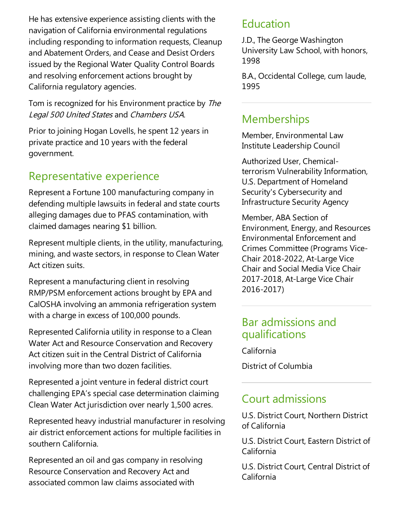He has extensive experience assisting clients with the navigation of California environmental regulations including responding to information requests, Cleanup and Abatement Orders, and Cease and Desist Orders issued by the Regional Water Quality Control Boards and resolving enforcement actions brought by California regulatory agencies.

Tom is recognized for his Environment practice by The Legal <sup>500</sup> United States and Chambers USA.

Prior to joining Hogan Lovells, he spent 12 years in private practice and 10 years with the federal government.

## Representative experience

Represent a Fortune 100 manufacturing company in defending multiple lawsuits in federal and state courts alleging damages due to PFAS contamination, with claimed damages nearing \$1 billion.

Represent multiple clients, in the utility, manufacturing, mining, and waste sectors, in response to Clean Water Act citizen suits.

Represent a manufacturing client in resolving RMP/PSM enforcement actions brought by EPA and CalOSHA involving an ammonia refrigeration system with a charge in excess of 100,000 pounds.

Represented California utility in response to a Clean Water Act and Resource Conservation and Recovery Act citizen suit in the Central District of California involving more than two dozen facilities.

Represented a joint venture in federal district court challenging EPA's special case determination claiming Clean Water Act jurisdiction over nearly 1,500 acres.

Represented heavy industrial manufacturer in resolving air district enforcement actions for multiple facilities in southern California.

Represented an oil and gas company in resolving Resource Conservation and Recovery Act and associated common law claims associated with

#### Education

J.D.,The George Washington University Law School, with honors, 1998

B.A., Occidental College, cum laude, 1995

### Memberships

Member, Environmental Law Institute Leadership Council

Authorized User, Chemicalterrorism Vulnerability Information, U.S. Department of Homeland Security's Cybersecurity and Infrastructure Security Agency

Member, ABA Section of Environment, Energy, and Resources Environmental Enforcement and Crimes Committee(Programs Vice-Chair 2018-2022, At-Large Vice Chair and Social Media Vice Chair 2017-2018, At-Large Vice Chair 2016-2017)

#### Bar admissions and qualifications

California

District of Columbia

#### Court admissions

U.S. District Court, Northern District of California

U.S. District Court, Eastern District of California

U.S. District Court, Central District of California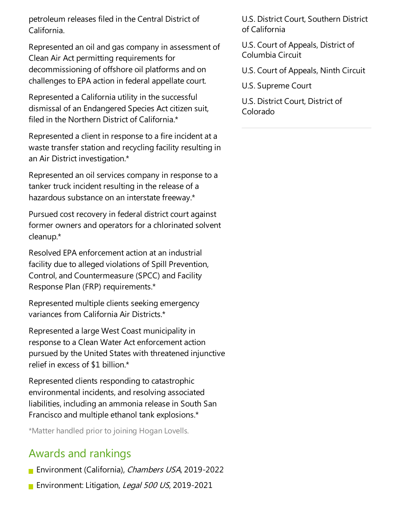petroleum releases filed in the Central District of California.

Represented an oil and gas company in assessment of Clean Air Act permitting requirements for decommissioning of offshore oil platforms and on challenges to EPA action in federal appellate court.

Represented a California utility in the successful dismissal of an Endangered Species Act citizen suit, filed in the Northern District of California.\*

Represented a client in response to a fire incident at a waste transfer station and recycling facility resulting in an Air District investigation.\*

Represented an oil services company in responseto a tanker truck incident resulting in the release of a hazardous substance on an interstate freeway.\*

Pursued cost recovery in federal district court against former owners and operators for a chlorinated solvent cleanup.\*

Resolved EPA enforcement action at an industrial facility due to alleged violations of Spill Prevention, Control, and Countermeasure (SPCC) and Facility Response Plan (FRP) requirements.\*

Represented multiple clients seeking emergency variances from California Air Districts.\*

Represented alarge West Coast municipality in response to a Clean Water Act enforcement action pursued by the United States with threatened injunctive relief in excess of \$1 billion.\*

Represented clients responding to catastrophic environmental incidents, and resolving associated liabilities, including an ammonia release in South San Francisco and multiple ethanol tank explosions.\*

\*Matter handled prior to joining Hogan Lovells.

### Awards and rankings

**Environment (California), Chambers USA, 2019-2022** 

**Environment: Litigation, Legal 500 US, 2019-2021** 

U.S. District Court, Southern District of California

U.S. Court of Appeals, District of Columbia Circuit

U.S. Court of Appeals, Ninth Circuit

U.S. Supreme Court

U.S. District Court, District of Colorado